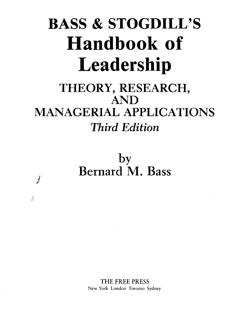# **BASS & STOGDILL'S Handbook of Leadership**

### **THEORY, RESEARCH, AND MANAGERIAL APPLICATIONS**  *Third Edition*

**by Bernard M. Bass** 

*?] Y* 

f

**THE FREE PRESS New York London Toronto Sydney**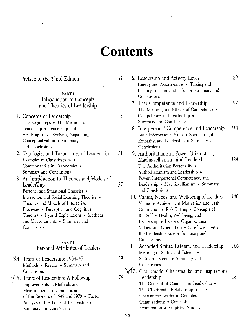## **Contents**

Preface to the Third Edition xi

#### **PARTI Introduction to Concepts and Theories of Leadership**

- **1. Concepts of Leadership 3**  The Beginnings • The Meaning of Leadership • Leadership and Headship • An Evolving, Expanding Conceptualization • Summary and Conclusions
- **2. Typologies and Taxonomies of Leadership** *21*  Examples of Classifications • Commonalities in Taxonomies • Summary and Conclusions
- **3. An Introduction to Theories and Models of Leadership 37**  Personal and Situational Theories • Interaction and Social Learning Theories • Theories and Models of Interactive Processes • Perceptual and Cognitive Theories • Hybrid Explanations • Methods and Measurements • Summary and **Conclusions**

#### **PART II Personal Attributes of Leaders**

**^\4. Traits of Leadership: 1904-47 59**  Methods • Results • Summary and Conclusions **5. Traits of Leadership: A Followup** *78*  Improvements in Methods and Measurements • Comparison of the Reviews of 1948 and 1970 • Factor Analysis of the Traits of Leadership •

Summary and Conclusions

- **6. Leadership and Activity Level 89**  Energy and Assertiveness • Talking and Leading • Time and Effort • Summary and Conclusions **7. Task Competence and Leadership 97**  The Meaning and Effects of Competence • Competence and Leadership • Summary and Conclusions **8. Interpersonal Competence and Leadership 110**  Basic Interpersonal Skills • Social Insight, Empathy, and Leadership • Summary and Conclusions **9. Authoritarianism, Power Orientation, Machiavellianism, and Leadership** *124*  The Authoritarian Personality • Authoritarianism and Leadership • Power, Interpersonal Competence, and Leadership • Machiavellianism • Summary and Conclusions **10. Values, Needs, and Well-being of Leaders 140**  Values • Achievement Motivation and Task Orientation • Risk Taking • Concepts of the Self • Health, Well-being, and Leadership • Leaders' Organizational Values, and Orientation • Satisfaction with the Leadership Role • Summary and Conclusions **11. Accorded Status, Esteem, and Leadership 166**  Meaning of Status and Esteem • Status • Esteem • Summary and Conclusions **Vl2. Charismatic, Charismalike, and Inspirational Leadership** *184*  The Concept of Charismatic Leadership • The Charismatic Relationship • The Charismatic Leader in Complex Organizations: A Conceptual Examination • Empirical Studies of
- vii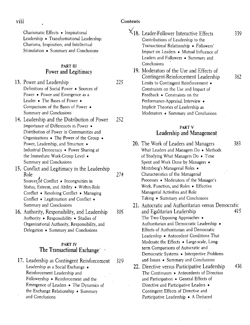**Contents** 

Charismatic Effects • Inspirational Leadership • Transformational Leadership: Charisma, Inspiration, and Intellectual

Stimulation • Summary and Conclusions

#### **PART III Power and Legitimacy**

|                            | 13. Power and Leadership                            | 225 |  |  |  |
|----------------------------|-----------------------------------------------------|-----|--|--|--|
|                            | Definitions of Social Power . Sources of            |     |  |  |  |
|                            | Power • Power and Emergence as a                    |     |  |  |  |
|                            | Leader • The Bases of Power •                       |     |  |  |  |
|                            | Comparisons of the Bases of Power .                 |     |  |  |  |
|                            | Summary and Conclusions                             |     |  |  |  |
|                            | 14. Leadership and the Distribution of Power<br>252 |     |  |  |  |
|                            | Importance of Differences in Power .                |     |  |  |  |
|                            | Distribution of Power in Communities and            |     |  |  |  |
|                            | Organizations • The Power of the Group •            |     |  |  |  |
|                            | Power, Leadership, and Structure .                  |     |  |  |  |
|                            | Industrial Democracy . Power Sharing at             |     |  |  |  |
|                            | the Immediate Work-Group Level .                    |     |  |  |  |
|                            | Summary and Conclusions                             |     |  |  |  |
|                            | 15. Conflict and Legitimacy in the Leadership       |     |  |  |  |
|                            | Role                                                | 274 |  |  |  |
|                            | Sources of Conflict . Incongruities in              |     |  |  |  |
|                            | Status, Esteem, and Ability . Within-Role           |     |  |  |  |
|                            | Conflict . Resolving Conflict . Managing            |     |  |  |  |
|                            | Conflict . Legitimation and Conflict .              |     |  |  |  |
|                            | Summary and Conclusions                             |     |  |  |  |
|                            | 16. Authority, Responsibility, and Leadership       | 305 |  |  |  |
|                            | Authority • Responsibility • Studies of             |     |  |  |  |
|                            | Organizational Authority, Responsibility, and       |     |  |  |  |
|                            | Delegation • Summary and Conclusions                |     |  |  |  |
|                            |                                                     |     |  |  |  |
|                            | <b>PART IV</b>                                      |     |  |  |  |
| The Transactional Exchange |                                                     |     |  |  |  |
|                            |                                                     |     |  |  |  |
|                            | 17. Leadership as Contingent Reinforcement          | 319 |  |  |  |
|                            | Leadership as a Social Exchange .                   |     |  |  |  |
|                            | Reinforcement Leadership and                        |     |  |  |  |
|                            | Followership • Reinforcement and the                |     |  |  |  |

- Emergence of Leaders The Dynamics of the Exchange Relationship • Summary
- and Conclusions
- **. Leader-Follower Interactive Effects 339**  Contributions of Leadership to the Transactional Relationship • Followers' Impact on Leaders • Mutual Influence of Leaders and Followers • Summary and Conclusions
- **19. Moderators of the Use and Effects of Contingent-Reinforcement Leadership 362**  Limits to Contingent Reinforcement • Constraints on the Use and Impact of Feedback • Constraints on the Performance-Appraisal Interview • Implicit Theories of Leadership as Moderators • Summary and Conclusions

#### **PART V Leadership and Management**

- **20. The Work of Leaders and Managers 383**  What Leaders and Managers Do • Methods of Studying What Managers Do • Time Spent and Work Done by Managers • Mintzberg's Managerial Roles • Characteristics of the Managerial Processes • Moderators of the Manager's Work, Function, and Roles • Effective Managerial Activities and Role Taking • Summary and Conclusions
- **21. Autocratic and Authoritarian versus Democratic and Egalitarian Leadership 415**  The Two Opposing Approaches • Authoritarian and Democratic Leadership • Effects of Authoritarian and Democratic Leadership • Antecedent Conditions That Moderate the Effects • Large-scale, Longterm Comparisons of Autocratic and Democratic Systems • Interpretive Problems and Issues • Summary and Conclusions
- **22. Directive versus Participative Leadership 436**  The Continuum • Antecedents of Direction and Participation • General Effects of Directive and Participative Leaders • Contingent Effects of Directive and Participative Leadership • A Deduced

viii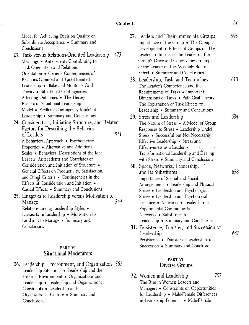Model for Achieving Decision Quality or Subordinate Acceptance • Summary and Conclusions

- **23. Task- versus Relations-Oriented Leadership 473**  Meanings • Antecedents Contributing to Task Orientation and Relations Orientation • General Consequences of Relations-Oriented and Task-Oriented Leadership • Blake and Mouton's Grid Theory • Situational Contingencies Affecting Outcomes • The Hersey-Blanchard Situational Leadership Model • Fiedler's Contingency Model of Leadership • Summary and Conclusions
- **24. Consideration, Initiating Structure, and Related Factors for Describing the Behavior of Leaders** *511*  A Behavioral Approach • Psychometric Properties • Alternative and Additional Scales • Behavioral Descriptions of the Ideal Leaders' Antecedents and Correlates of Consideration and Initiation of Structure • General Effects on Productivity, Satisfaction, and Other Criteria • Contingencies in the Effects  $\delta f$  Consideration and Initiation  $\bullet$ Causal Effects • Summary and Conclusions

**25. Laissez-faire Leadership versus Motivation to**  Manage 544 Relations among Leadership Styles • Laissez-faire Leadership • Motivation to Lead and to Manage • Summary and Conclusions

#### **PART VI Situational Moderators**

**26. Leadership, Environment, and Organization 563**  Leadership Situations • Leadership and the External Environment • Organizations and Leadership • Leadership and Organizational Constraints • Leadership and Organizational Culture • Summary and Conclusions

| 27. Leaders and Their Immediate Groups<br>Importance of the Group . The Group's | 595 |
|---------------------------------------------------------------------------------|-----|
| Development . Effects of Groups on Their                                        |     |
| Leaders . Impact of the Leader on the                                           |     |
| Group's Drive and Cohesiveness . Impact                                         |     |
| of the Leader on the Assembly Bonus                                             |     |
| Effect • Summary and Conclusions                                                |     |
| 28. Leadership, Task, and Technology                                            | 613 |
| The Leader's Competence and the                                                 |     |
| Requirements of Tasks • Important                                               |     |
| Dimensions of Tasks . Path-Goal Theory:                                         |     |
| The Explanation of Task Effects on                                              |     |
| Leadership • Summary and Conclusions                                            |     |
| 29. Stress and Leadership                                                       | 634 |
| The Nature of Stress . A Model of Group                                         |     |
| Responses to Stress . Leadership Under                                          |     |
| Stress . Successful but Not Necessarily                                         |     |
| Effective Leadership . Stress and                                               |     |
| Effectiveness as a Leader •                                                     |     |
| Transformational Leadership and Dealing                                         |     |
| with Stress . Summary and Conclusions                                           |     |
| 30. Space, Networks, Leadership,                                                |     |
| and Its Substitutes                                                             | 658 |
| Importance of Spatial and Social                                                |     |
| Arrangements • Leadership and Physical                                          |     |
| Space • Leadership and Psychological                                            |     |
| Space • Leadership and Psychosocial                                             |     |
| Distance • Networks • Leadership in                                             |     |
| <b>Experimental Communication</b>                                               |     |
| Networks • Substitutes for                                                      |     |
| Leadership • Summary and Conclusions                                            |     |
| 31. Persistence, Transfer, and Succession of                                    |     |
| Leadership                                                                      | 687 |
| Persistence • Transfer of Leadership •                                          |     |
| Succession . Summary and Conclusions                                            |     |

#### **PART VII Diverse Groups**

**32. Women and Leadership**  The Rise in Women Leaders and Managers • Constraints on Opportunities for Leadership • Male-Female Differences in Leadership Potential • Male-Female **707**  *IX*